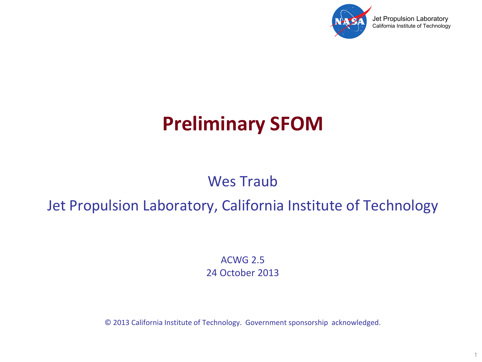

1

# **Preliminary SFOM**

### Wes Traub

### Jet Propulsion Laboratory, California Institute of Technology

ACWG 2.5 24 October 2013

© 2013 California Institute of Technology. Government sponsorship acknowledged.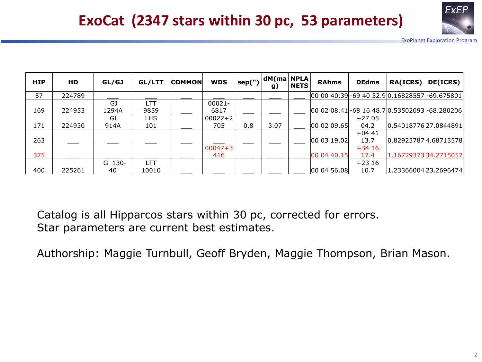

## **ExoCat (2347 stars within 30 pc, 53 parameters)**

ExoPlanet Exploration Program

| <b>HIP</b> | <b>HD</b> | GL/GJ  | GL/LTT     | <b>COMMON</b> | <b>WDS</b>  | sep(") | dM(ma NPLA <br>g) | <b>NETS</b> | <b>RAhms</b>                                    | <b>DEdms</b> | <b>RA(ICRS)</b>      | DE(ICRS)              |
|------------|-----------|--------|------------|---------------|-------------|--------|-------------------|-------------|-------------------------------------------------|--------------|----------------------|-----------------------|
| 57         | 224789    |        |            |               |             |        |                   |             | 00 00 40.39 - 69 40 32.9 0.16828557 - 69.675801 |              |                      |                       |
|            |           | GJ     | <b>LTT</b> |               | 00021-      |        |                   |             |                                                 |              |                      |                       |
| 169        | 224953    | 1294A  | 9859       |               | 6817        |        |                   |             | 00 02 08.41 - 68 16 48.7 0.53502093 - 68.280206 |              |                      |                       |
|            |           | GL     | LHS.       |               | $00022 + 2$ |        |                   |             |                                                 | $+27.05$     |                      |                       |
| 171        | 224930    | 914A   | 101        |               | 705         | 0.8    | 3.07              |             | 00 02 09.65                                     | 04.2         | 0.5401877627.0844891 |                       |
|            |           |        |            |               |             |        |                   |             |                                                 | $+0441$      |                      |                       |
| 263        |           |        |            |               |             |        |                   |             | 000319.02                                       | 13.7         |                      | 0.82923787 4.68713578 |
|            |           |        |            |               | $00047 + 3$ |        |                   |             |                                                 | $+3416$      |                      |                       |
| 375        |           |        |            |               | 416         |        |                   |             | 00 04 40.15                                     | 17.4         |                      | 1.1672937334.2715057  |
|            |           | G 130- | LTT        |               |             |        |                   |             |                                                 | $+2316$      |                      |                       |
| 400        | 225261    | 40     | 10010      |               |             |        |                   |             | 00 04 56.08                                     | 10.7         |                      | 1.23366004 23.2696474 |

Catalog is all Hipparcos stars within 30 pc, corrected for errors. Star parameters are current best estimates.

Authorship: Maggie Turnbull, Geoff Bryden, Maggie Thompson, Brian Mason.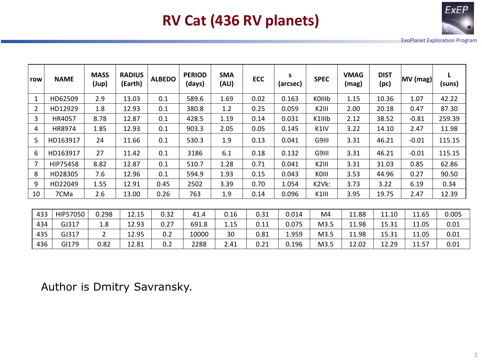

# **RV Cat (436 RV planets)**

ExoPlanet Exploration Program

| row | <b>NAME</b>     | <b>MASS</b><br>(Jup) | <b>RADIUS</b><br>(Earth) | <b>ALBEDO</b> | <b>PERIOD</b><br>(days) | <b>SMA</b><br>(AU) | <b>ECC</b> | s<br>(arcsec) | <b>SPEC</b>        | <b>VMAG</b><br>(mag) | <b>DIST</b><br>(pc) | MV (mag) | (suns) |
|-----|-----------------|----------------------|--------------------------|---------------|-------------------------|--------------------|------------|---------------|--------------------|----------------------|---------------------|----------|--------|
| 1   | HD62509         | 2.9                  | 13.03                    | 0.1           | 589.6                   | 1.69               | 0.02       | 0.163         | KOIIIb             | 1.15                 | 10.36               | 1.07     | 42.22  |
| 2   | HD12929         | 1.8                  | 12.93                    | 0.1           | 380.8                   | 1.2                | 0.25       | 0.059         | K <sub>2</sub> III | 2.00                 | 20.18               | 0.47     | 87.30  |
| 3   | HR4057          | 8.78                 | 12.87                    | 0.1           | 428.5                   | 1.19               | 0.14       | 0.031         | K1IIIb             | 2.12                 | 38.52               | $-0.81$  | 259.39 |
| 4   | HR8974          | 1.85                 | 12.93                    | 0.1           | 903.3                   | 2.05               | 0.05       | 0.145         | K <sub>1</sub> IV  | 3.22                 | 14.10               | 2.47     | 11.98  |
| 5   | HD163917        | 24                   | 11.66                    | 0.1           | 530.3                   | 1.9                | 0.13       | 0.041         | G9III              | 3.31                 | 46.21               | $-0.01$  | 115.15 |
| 6   | HD163917        | 27                   | 11.42                    | 0.1           | 3186                    | 6.1                | 0.18       | 0.132         | G9III              | 3.31                 | 46.21               | $-0.01$  | 115.15 |
| 7   | <b>HIP75458</b> | 8.82                 | 12.87                    | 0.1           | 510.7                   | 1.28               | 0.71       | 0.041         | K <sub>2</sub> III | 3.31                 | 31.03               | 0.85     | 62.86  |
| 8   | HD28305         | 7.6                  | 12.96                    | 0.1           | 594.9                   | 1.93               | 0.15       | 0.043         | KOIII              | 3.53                 | 44.96               | 0.27     | 90.50  |
| 9   | HD22049         | 1.55                 | 12.91                    | 0.45          | 2502                    | 3.39               | 0.70       | 1.054         | K2Vk:              | 3.73                 | 3.22                | 6.19     | 0.34   |
| 10  | 7CMa            | 2.6                  | 13.00                    | 0.26          | 763                     | 1.9                | 0.14       | 0.096         | K1III              | 3.95                 | 19.75               | 2.47     | 12.39  |
|     |                 |                      |                          |               |                         |                    |            |               |                    |                      |                     |          |        |
| 433 | HIP57050        | 0.298                | 12.15                    | 0.32          | 41.4                    | 0.16               | 0.31       | 0.014         | M4                 | 11.88                | 11.10               | 11.65    | 0.005  |
| 434 | GJ317           | 1.8                  | 12.93                    | 0.27          | 691.8                   | 1.15               | 0.11       | 0.075         | M3.5               | 11.98                | 15.31               | 11.05    | 0.01   |
| 435 | GJ317           | $\overline{2}$       | 12.95                    | 0.2           | 10000                   | 30                 | 0.81       | 1.959         | M3.5               | 11.98                | 15.31               | 11.05    | 0.01   |
| 436 | GI179           | 0.82                 | 12.81                    | 0.2           | 2288                    | 2.41               | 0.21       | 0.196         | M3.5               | 12.02                | 12.29               | 11.57    | 0.01   |

Author is Dmitry Savransky.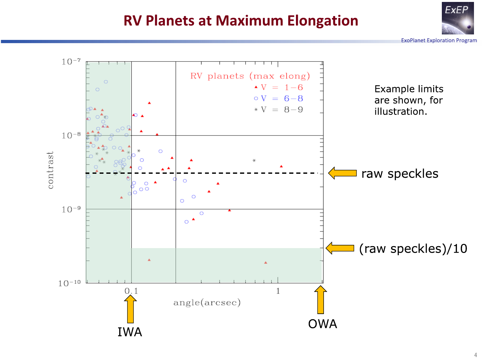### **RV Planets at Maximum Elongation**



**ExoPlanet Exploration Program** 

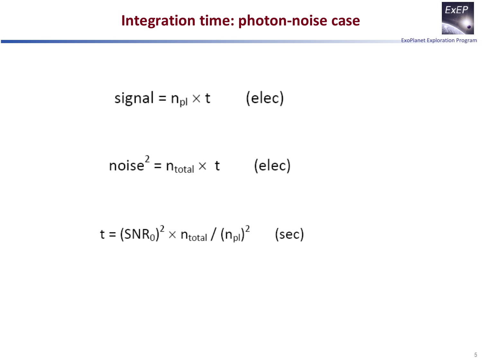

$$
signal = n_{pl} \times t \qquad (elec)
$$

$$
noise2 = ntotal \times t
$$
 (elec)

$$
t = (SNR0)2 \times ntotal / (npl)2 (sec)
$$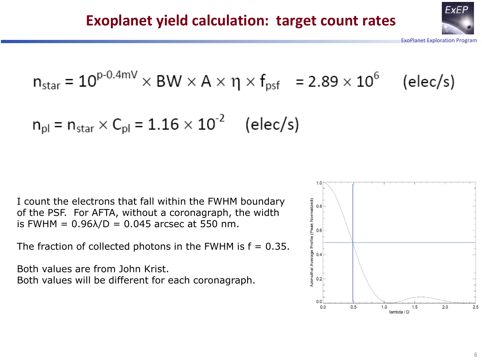

$$
n_{\text{star}} = 10^{\text{p-0.4mV}} \times \text{BW} \times \text{A} \times \eta \times f_{\text{psf}} = 2.89 \times 10^6 \quad \text{(elec/s)}
$$

$$
n_{\rm pl} = n_{\rm star} \times C_{\rm pl} = 1.16 \times 10^{-2}
$$
 (elec/s)

I count the electrons that fall within the FWHM boundary of the PSF. For AFTA, without a coronagraph, the width is FWHM = 0.96λ/D = 0.045 arcsec at 550 nm.

The fraction of collected photons in the FWHM is  $f = 0.35$ .

Both values are from John Krist. Both values will be different for each coronagraph.

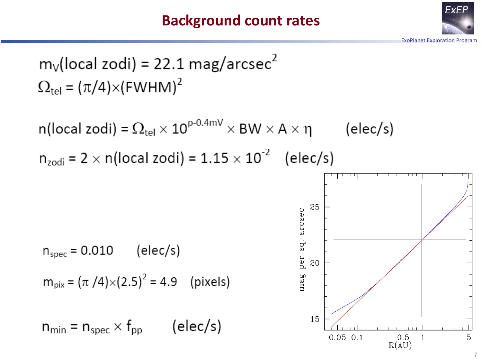### **Background count rates**



$$
m_V
$$
(local zodi) = 22.1 mag/arcsec<sup>2</sup>  
 $\Omega_{\text{tel}} = (\pi/4) \times (FWHM)^2$ 

n(local zodi) =  $\Omega_{\text{tel}} \times 10^{\text{p-0.4mV}} \times$  BW  $\times$  A  $\times$  η (elec/s)  $n_{zodi}$  = 2  $\times$  n(local zodi) = 1.15  $\times$  10<sup>-2</sup> (elec/s)

$$
n_{\rm spec} = 0.010 \qquad \text{(elec/s)}
$$

$$
m_{pix} = (\pi / 4) \times (2.5)^2 = 4.9
$$
 (pixels)

$$
n_{\min} = n_{\text{spec}} \times f_{\text{pp}} \qquad \text{(elec/s)}
$$

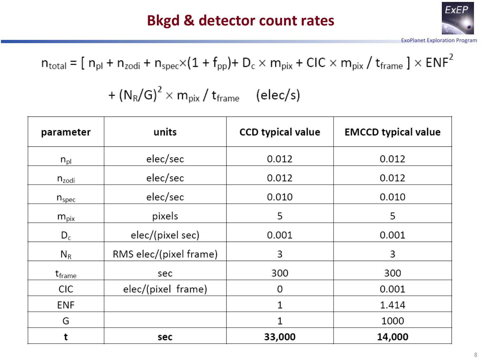### **Bkgd & detector count rates**



ExoPlanet Exploration Program

 $n_{\text{total}} = [n_{\text{pl}} + n_{\text{zodi}} + n_{\text{spec}} \times (1 + f_{\text{pp}}) + D_c \times m_{\text{pix}} + CIC \times m_{\text{pix}} / t_{\text{frame}} ] \times ENF^2$ 

 $+(N_R/G)^2 \times m_{pix}/t_{frame}$  (elec/s)

| parameter    | units                  | <b>CCD typical value</b> | <b>EMCCD typical value</b> |  |  |
|--------------|------------------------|--------------------------|----------------------------|--|--|
| $n_{\rm pl}$ | elec/sec               | 0.012                    | 0.012                      |  |  |
| $n_{zodi}$   | elec/sec               | 0.012                    | 0.012                      |  |  |
| $n_{spec}$   | elec/sec               | 0.010                    | 0.010                      |  |  |
| $m_{pix}$    | pixels                 | 5                        | 5                          |  |  |
| $D_c$        | elec/(pixel sec)       | 0.001                    | 0.001                      |  |  |
| $N_R$        | RMS elec/(pixel frame) | 3                        | 3                          |  |  |
| $t_{frame}$  | sec                    | 300                      | 300                        |  |  |
| <b>CIC</b>   | elec/(pixel frame)     | 0                        | 0.001                      |  |  |
| <b>ENF</b>   |                        | 1                        | 1.414                      |  |  |
| G            |                        | 1                        | 1000                       |  |  |
| t            | sec                    | 33,000                   | 14,000                     |  |  |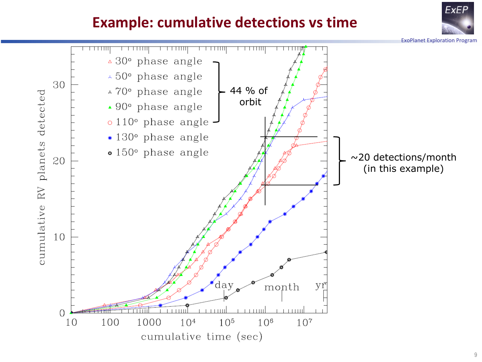### **Example: cumulative detections vs time**

ExoPlanet Exploration Program

**ExEP**